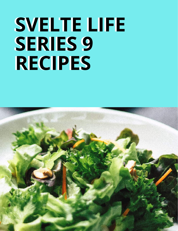# **SVELTE LIFE SVELTE LIFE SERIES 9 SERIES 9 RECIPES RECIPES**

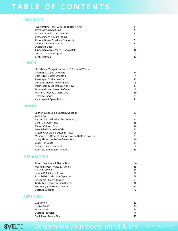# **T A B L E O F C O N T E N T S**

#### **BREAKFAST**

| Sweet Potato Toast with Nut Butter & Chia |    |
|-------------------------------------------|----|
| Breakfast Quinoa Cups                     | 4  |
| Mexican Breakfast Bean Bowl               | 5  |
| Eggs, Spinach & Mushrooms                 | 6  |
| Almond Butter Breakfast Smoothie          |    |
| Turkey & Sweet Potatoes                   | 8  |
| Overnight Oats                            | q  |
| Cinnamon Apple Peach Granola Bake         | 10 |
| Coconut Granola Yogurt                    | 11 |
| Lentil Oatmeal                            | 12 |

#### **LUNCH**

| Strawberry Mango Guacamole & Chicken Wraps | 13 |
|--------------------------------------------|----|
| Zucchini Lasagna Leftovers                 | 14 |
| Date & Nut Butter Smoothie                 | 14 |
| Rice Paper Chicken Wraps                   | 15 |
| Chickpea Mediterranean Salad               | 16 |
| Mushroom & Broccoli Quinoa Bowl            | 17 |
| Sesame Ginger Skewer Leftovers             | 18 |
| Warm Portobello Green Salad                | 19 |
| Detox-Me Soup                              | 20 |
| Asparagus & Spinach Soup                   | 21 |

#### **DINNER**

| Salmon & Egg Salad Stuffed Avocados                | 22 |
|----------------------------------------------------|----|
| Lam Stew                                           | 23 |
| Bacon Wrapped Salsa Chicken Breasts                | 24 |
| Cajun Chicken Wings                                | 25 |
| Classic Chicken Soup                               | 26 |
| Beet Salad With Whitefish                          | 27 |
| Creamy Avocado & Zucchini Pasta                    | 28 |
| Mushroom & Broccoli Quinoa Bowl with Basic Protein | 29 |
| Curry Shrimp With Cauliflower Rice                 | 30 |
| Crab/ Fish Cakes                                   | 31 |
| Sesame Ginger Skewers                              | 32 |
| Bison Stuffed Banana Peppers                       | 33 |

#### **MIX & MATCH**

| Baked Rosemary & Thyme Beets     | 34 |
|----------------------------------|----|
| Mashed Sweet Potato & Turnips    | 35 |
| Cajun Broccolini                 | 36 |
| Lemon Dill Salmon & Kale         | 37 |
| Portobello Mushroom Cap Buns     | 38 |
| Pineapple Chicken Burger         | 39 |
| Garlic & Jalapeno Chicken Burger | 40 |
| Rosemary & Garlic Beef Burgers   | 41 |
| Zucchini Lasagna                 | 42 |
|                                  |    |

#### **APPENDIX**

| Guacamole              | 43 |
|------------------------|----|
| Simple Salad           | 44 |
| Pico de Gallo          | 45 |
| Zucchini Noodles       | 46 |
| Cauliflower Mash/ Rice | 47 |

SVELTE

### Streamline your body, mind & life. SVELTE Media LLC © 2018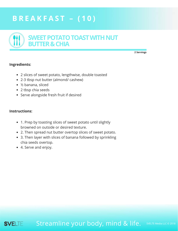# <span id="page-2-0"></span>**B R E A K F A S T – ( 1 0 )**



**2 Servings**

#### **Ingredients:**

- 2 slices of sweet potato, lengthwise, double toasted
- 2-3 tbsp nut butter (almond/ cashew)
- ½ banana, sliced
- 2 tbsp chia seeds
- Serve alongside fresh fruit if desired

#### **Instructions:**

- 1. Prep by toasting slices of sweet potato until slightly browned on outside or desired texture.
- 2. Then spread nut butter overtop slices of sweet potato.
- 3. Then layer with slices of banana followed by sprinkling chia seeds overtop.
- 4. Serve and enjoy.

Streamline your body, mind & life. **SVEI TF** 

SVELTE Media LLC © 2018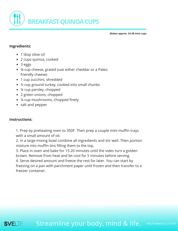<span id="page-3-0"></span>

**Makes approx. 24-28 mini cups**

#### **Ingredients:**

- 1 tbsp olive oil
- 2 cups quinoa, cooked
- 3 eggs
- ¾ cup cheese, grated (use either cheddar or a Paleo friendly cheese)
- 1 cup zucchini, shredded
- ½ cup ground turkey, cooked into small chunks
- ¼ cup parsley, chopped
- 2 green onions, chopped
- ¼ cup mushrooms, chopped finely
- salt and pepper

#### **Instructions:**

1. Prep by preheating oven to 350F. Then prep a couple mini muffin trays with a small amount of oil.

2. In a large mixing bowl combine all ingredients and stir well. Then portion mixture into muffin tins filling them to the top.

3. Place in oven and bake for 15-20 minutes until the sides turn a golden brown. Remove from heat and let cool for 5 minutes before serving.

4. Serve desired amount and freeze the rest for later. You can start by freezing on a pan with parchment paper until frozen and then transfer to a freezer container.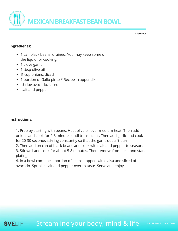<span id="page-4-0"></span>

#### **Ingredients:**

- 1 can black beans, drained. You may keep some of the liquid for cooking.
- 1 clove garlic
- 1 tbsp olive oil
- ¼ cup onions, diced
- 1 portion of Gallo pinto \* Recipe in appendix
- ½ ripe avocado, sliced
- salt and pepper

#### **Instructions:**

1. Prep by starting with beans. Heat olive oil over medium heat. Then add onions and cook for 2-3 minutes until translucent. Then add garlic and cook for 20-30 seconds stirring constantly so that the garlic doesn't burn.

2. Then add on can of black beans and cook with salt and pepper to season.

3. Stir well and cook for about 5-8 minutes. Then remove from heat and start plating.

4. In a bowl combine a portion of beans, topped with salsa and sliced of avocado. Sprinkle salt and pepper over to taste. Serve and enjoy.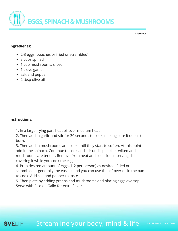<span id="page-5-0"></span>

#### **Ingredients:**

- 2-3 eggs (poaches or fried or scrambled)
- 3 cups spinach
- 1 cup mushrooms, sliced
- 1 clove garlic
- salt and pepper
- 2 tbsp olive oil

#### **Instructions:**

1. In a large frying pan, heat oil over medium heat.

2. Then add in garlic and stir for 30 seconds to cook, making sure it doesn't burn.

3. Then add in mushrooms and cook until they start to soften. At this point add in the spinach. Continue to cook and stir until spinach is wilted and mushrooms are tender. Remove from heat and set aside in serving dish, covering it while you cook the eggs.

4. Prep desired amount of eggs (1-2 per person) as desired. Fried or scrambled is generally the easiest and you can use the leftover oil in the pan to cook. Add salt and pepper to taste.

5. Then plate by adding greens and mushrooms and placing eggs overtop. Serve with Pico de Gallo for extra flavor.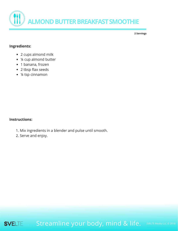<span id="page-6-0"></span>

#### **Ingredients:**

- 2 cups almond milk
- ¼ cup almond butter
- 1 banana, frozen
- 2 tbsp flax seeds
- ¼ tsp cinnamon

#### **Instructions:**

- 1. Mix ingredients in a blender and pulse until smooth.
- 2. Serve and enjoy.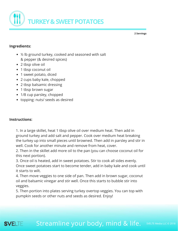<span id="page-7-0"></span>

#### **Ingredients:**

- ½ lb ground turkey, cooked and seasoned with salt & pepper (& desired spices)
- 2 tbsp olive oil
- 1 tbsp coconut oil
- 1 sweet potato, diced
- 2 cups baby kale, chopped
- 2 tbsp balsamic dressing
- 1 tbsp brown sugar
- 1/8 cup parsley, chopped
- topping: nuts/ seeds as desired

#### **Instructions:**

**SVELTE** 

1. In a large skillet, heat 1 tbsp olive oil over medium heat. Then add in ground turkey and add salt and pepper. Cook over medium heat breaking the turkey up into small pieces until browned. Then add in parsley and stir in well. Cook for another minute and remove from heat, cover.

2. Then in the skillet add more oil to the pan (you can choose coconut oil for this next portion).

3. Once oil is heated, add in sweet potatoes. Stir to cook all sides evenly. Once sweet potatoes start to become tender, add in baby kale and cook until it starts to wilt.

4. Then move veggies to one side of pan. Then add in brown sugar, coconut oil and balsamic vinegar and stir well. Once this starts to bubble stir into veggies.

5. Then portion into plates serving turkey overtop veggies. You can top with pumpkin seeds or other nuts and seeds as desired. Enjoy!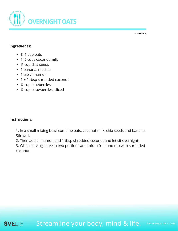<span id="page-8-0"></span>

#### **Ingredients:**

- $\bullet$   $\frac{3}{4}$ -1 cup oats
- 1 ½ cups coconut milk
- ¼ cup chia seeds
- 1 banana, mashed
- 1 tsp cinnamon
- 1 + 1 tbsp shredded coconut
- ¼ cup blueberries
- ¼ cup strawberries, sliced

#### **Instructions:**

1. In a small mixing bowl combine oats, coconut milk, chia seeds and banana. Stir well.

2. Then add cinnamon and 1 tbsp shredded coconut and let sit overnight.

3. When serving serve in two portions and mix in fruit and top with shredded coconut.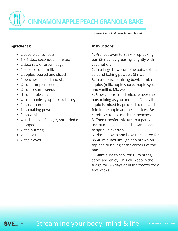<span id="page-9-0"></span>**B R E A K F A S T – ( 1 0 ) CINNAMONAPPLEPEACHGRANOLABAKE**

**Serves 4 with 2 leftovers for next breakfast.**

#### **Ingredients:**

- 2 cups steel cut oats
- 1 + 1 tbsp coconut oil, melted
- 2 tbsp raw or brown sugar
- 2 cups coconut milk
- 2 apples, peeled and sliced
- 2 peaches, peeled and sliced
- ¼ cup pumpkin seeds
- ¼ cup sesame seeds
- ½ cup applesauce
- ¼ cup maple syrup or raw honey
- 2 tsp cinnamon
- 1 tsp baking powder
- 2 tsp vanilla
- ¼ inch piece of ginger, shredded or chopped
- ½ tsp nutmeg
- $\bullet$  ½ tsp salt
- ½ tsp cloves

#### **Instructions:**

1. Preheat oven to 375F. Prep baking pan (2-2.5L) by greasing it lightly with coconut oil.

2. In a large bowl combine oats, spices, salt and baking powder. Stir well.

3. In a separate mixing bowl, combine liquids (milk, apple sauce, maple syrup and vanilla). Mix well.

4. Slowly pour liquid mixture over the oats mixing as you add it in. Once all liquid is mixed in, proceed to mix and fold in the apple and peach slices. Be careful as to not mash the peaches. 5. Then transfer mixture to a pan and

use pumpkin seeds and sesame seeds to sprinkle overtop.

6. Place in oven and bake uncovered for 35-40 minutes until golden brown on top and bubbling at the corners of the pan.

7. Make sure to cool for 10 minutes, serve and enjoy. This will keep in the fridge for 5-6 days or in the freezer for a few weeks.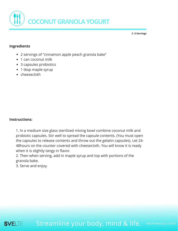<span id="page-10-0"></span>

**2 -3 Servings**

#### **Ingredients**

- 2 servings of "cinnamon apple peach granola bake"
- 1 can coconut milk
- 3 capsules probiotics
- 1 tbsp maple syrup
- cheesecloth

#### **Instructions:**

1. In a medium size glass sterilized mixing bowl combine coconut milk and probiotic capsules. Stir well to spread the capsule contents. (You must open the capsules to release contents and throw out the gelatin capsules). Let 24- 48hours on the counter covered with cheesecloth. You will know it is ready when it is slightly tangy in flavor.

2. Then when serving, add in maple syrup and top with portions of the granola bake.

3. Serve and enjoy.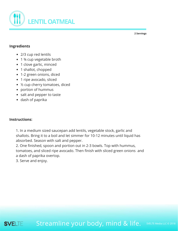<span id="page-11-0"></span>

#### **Ingredients**

- 2/3 cup red lentils
- 1 3⁄4 cup vegetable broth
- 1 clove garlic, minced
- 1 shallot, chopped
- 1-2 green onions, diced
- 1 ripe avocado, sliced
- ½ cup cherry tomatoes, diced
- portion of hummus
- salt and pepper to taste
- dash of paprika

#### **Instructions:**

1. In a medium sized saucepan add lentils, vegetable stock, garlic and shallots. Bring it to a boil and let simmer for 10-12 minutes until liquid has absorbed. Season with salt and pepper.

2. One finished, spoon and portion out in 2-3 bowls. Top with hummus, tomatoes, and sliced ripe avocado. Then finish with sliced green onions and a dash of paprika overtop.

3. Serve and enjoy.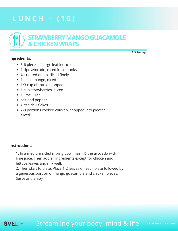# <span id="page-12-0"></span>**L U N C H – ( 1 0 )**



#### **Ingredients:**

**2 -3 Servings**

- 3-6 pieces of large leaf lettuce
- 1 ripe avocado, diced into chunks
- ¼ cup red onion, diced finely
- 1 small mango, diced
- 1/3 cup cilantro, chopped
- 1 cup strawberries, sliced
- 1 lime, juice
- salt and pepper
- ½ tsp chili flakes
- 2-3 portions cooked chicken, chopped into pieces/ sliced.

#### **Instructions:**

1. In a medium sided mixing bowl mash ½ the avocado with lime juice. Then add all ingredients except for chicken and lettuce leaves and mix well.

2. Then start to plate. Place 1-2 leaves on each plate followed by a generous portion of mango guacamole and chicken pieces. Serve and enjoy.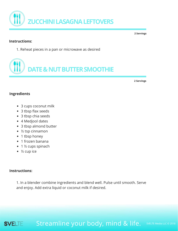<span id="page-13-0"></span>

#### **Instructions:**

1. Reheat pieces in a pan or microwave as desired



**2 Servings**

**2 Servings**

#### **Ingredients**

- 3 cups coconut milk
- 3 tbsp flax seeds
- 3 tbsp chia seeds
- 4 Medjool dates
- 3 tbsp almond butter
- ½ tsp cinnamon
- 1 tbsp honey
- 1 frozen banana
- $\bullet$  1 ½ cups spinach
- ½ cup ice

#### **Instructions:**

1. In a blender combine ingredients and blend well. Pulse until smooth. Serve and enjoy. Add extra liquid or coconut milk if desired.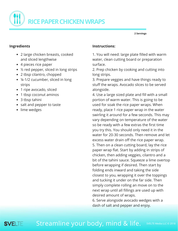<span id="page-14-0"></span>

#### **Ingredients**

- 2 large chicken breasts, cooked and sliced lengthwise
- 4 pieces rice paper
- ½ red pepper, sliced in long strips
- 2 tbsp cilantro, chopped
- ¼-1/2 cucumber, sliced in long strips
- 1 ripe avocado, sliced
- 1 tbsp coconut aminos
- 3 tbsp tahini
- salt and pepper to taste
- lime wedges

#### **Instructions:**

1. You will need: large plate filled with warm water, clean cutting board or preparation surface.

2. Prep chicken by cooking and cutting into long strips.

3. Prepare veggies and have things ready to stuff the wraps. Avocado slices to be served alongside.

4. Use a large sized plate and fill with a small portion of warm water. This is going to be used for soak the rice paper wraps. When ready, place 1 rice paper wrap in the water swirling it around for a few seconds. This may vary depending on temperature of the water so be ready with a few extras the first time you try this. You should only need it in the water for 20-30 seconds. Then remove and let excess water drain off the rice paper wrap. 5. Then on a clean cutting board, lay the rice paper wrap flat. Start by adding in strips of chicken, then adding veggies, cilantro and a bit of the tahini sauce. Squeeze a lime overtop before wrapping if desired. Then start by folding ends inward and taking the side closest to you, wrapping it over the toppings and tucking it under on the far side. Then simply complete rolling an move on to the next wrap until all fillings are used up with desired amount of wraps.

6. Serve alongside avocado wedges with a dash of salt and pepper and enjoy.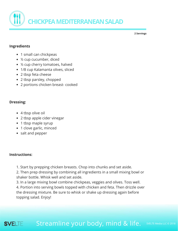<span id="page-15-0"></span>

#### **Ingredients**

- 1 small can chickpeas
- ½ cup cucumber, diced
- ½ cup cherry tomatoes, halved
- 1/8 cup Kalamanta olives, sliced
- 2 tbsp feta cheese
- 2 tbsp parsley, chopped
- 2 portions chicken breast- cooked

#### **Dressing:**

- 4 tbsp olive oil
- 2 tbsp apple cider vinegar
- 1 tbsp maple syrup
- 1 clove garlic, minced
- salt and pepper

#### **Instructions:**

1. Start by prepping chicken breasts. Chop into chunks and set aside.

2. Then prep dressing by combining all ingredients in a small mixing bowl or shaker bottle. Whisk well and set aside.

3. In a large mixing bowl combine chickpeas, veggies and olives. Toss well.

4. Portion into serving bowls topped with chicken and feta. Then drizzle over the dressing mixture. Be sure to whisk or shake up dressing again before topping salad. Enjoy!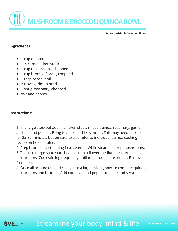<span id="page-16-0"></span>**B R EMA K F A S T – ( 1 0 ) USHROOM&BROCCOLIQUINOABOWL**

**Serves 2 with 2 leftover for dinner**

#### **Ingredients**

- 1 cup quinoa
- 1 ½ cups chicken stock
- 1 cup mushrooms, chopped
- 1 cup broccoli florets, chopped
- 1 tbsp coconut oil
- 2 clove garlic, minced
- 1 sprig rosemary, chopped
- salt and pepper

#### **Instructions:**

1. In a large stockpot add in chicken stock, rinsed quinoa, rosemary, garlic and salt and pepper. Bring to a boil and let simmer. This may need to cook for 25-30 minutes, but be sure to also refer to individual quinoa cooking recipe on box of quinoa.

2. Prep broccoli by steaming in a steamer. While steaming prep mushrooms.

3. Then in a large saucepan, heat coconut oil over medium heat. Add in mushrooms. Cook stirring frequently until mushrooms are tender. Remove from heat.

4. Once all are cooked and ready, use a large mixing bowl to combine quinoa, mushrooms and broccoli. Add extra salt and pepper to taste and serve.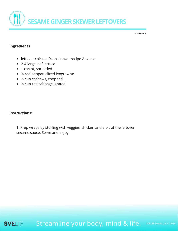<span id="page-17-0"></span>

#### **Ingredients**

- leftover chicken from skewer recipe & sauce
- 2-4 large leaf lettuce
- 1 carrot, shredded
- ¼ red pepper, sliced lengthwise
- ¼ cup cashews, chopped
- ¼ cup red cabbage, grated

#### **Instructions:**

1. Prep wraps by stuffing with veggies, chicken and a bit of the leftover sesame sauce. Serve and enjoy.

Streamline your body, mind & life. SVELTE

SVELTE Media LLC © 2018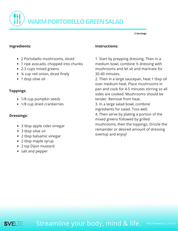<span id="page-18-0"></span>**WARM PORTOBELLO GREEN SALAD** 

**2 Servings**

#### **Ingredients:**

- 2 Portobello mushrooms, sliced
- 1 ripe avocado, chopped into chunks
- 2-3 cups mixed greens
- ¼ cup red onion, diced finely
- 1 tbsp olive oil

#### **Toppings:**

- 1/8 cup pumpkin seeds
- 1/8 cup dried cranberries

#### **Dressings:**

- 3 tbsp apple cider vinegar
- 3 tbsp olive oil
- 2 tbsp balsamic vinegar
- 2 tbsp maple syrup
- 2 tsp Dijon mustard
- salt and pepper

#### **Instructions:**

1. Start by prepping dressing. Then in a medium bowl, combine ½ dressing with mushrooms and let sit and marinate for 30-40 minutes.

2. Then in a large saucepan, heat 1 tbsp oil over medium heat. Place mushrooms in pan and cook for 4-5 minutes stirring so all sides are cooked. Mushrooms should be tender. Remove from heat.

3. In a large salad bowl, combine ingredients for salad. Toss well.

4. Then serve by plating a portion of the mixed greens followed by grilled mushrooms, then the toppings. Drizzle the remainder or desired amount of dressing overtop and enjoy!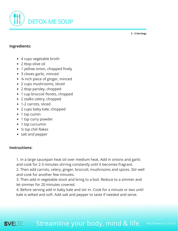<span id="page-19-0"></span>

**2 - 3 Servings**

#### **Ingredients:**

- 4 cups vegetable broth
- 2 tbsp olive oil
- 1 yellow onion, chopped finely
- 3 cloves garlic, minced
- ¼ inch piece of ginger, minced
- 2 cups mushrooms, sliced
- 2 tbsp parsley, chopped
- 1 cup broccoli florets, chopped
- 2 stalks celery, chopped
- 1-2 carrots, sliced
- 2 cups baby kale, chopped
- 1 tsp cumin
- 1 tsp curry powder
- 1 tsp curcumin
- ½ tsp chili flakes
- salt and pepper

#### **Instructions:**

SVELTE

1. In a large saucepan heat oil over medium heat. Add in onions and garlic and cook for 2-3 minutes stirring constantly until it becomes fragrant.

2. Then add carrots, celery, ginger, broccoli, mushrooms and spices. Stir well and cook for another few minutes.

3. Then add in vegetable stock and bring to a boil. Reduce to a simmer and let simmer for 20 minutes covered.

4. Before serving add in baby kale and stir in. Cook for a minute or two until kale is wilted and soft. Add salt and pepper to taste if needed and serve.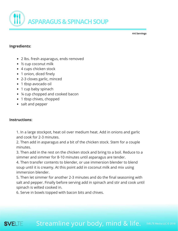<span id="page-20-0"></span>

**4-6 Servings**

#### **Ingredients:**

- 2 lbs. fresh asparagus, ends removed
- ½ cup coconut milk
- 4 cups chicken stock
- 1 onion, diced finely
- 2-3 cloves garlic, minced
- 1 tbsp avocado oil
- 1 cup baby spinach
- ¼ cup chopped and cooked bacon
- 1 tbsp chives, chopped
- salt and pepper

#### **Instructions:**

1. In a large stockpot, heat oil over medium heat. Add in onions and garlic and cook for 2-3 minutes.

2. Then add in asparagus and a bit of the chicken stock. Stem for a couple minutes.

3. Then add in the rest on the chicken stock and bring to a boil. Reduce to a simmer and simmer for 8-10 minutes until asparagus are tender.

4. Then transfer contents to blender, or use immersion blender to blend soup until it is creamy. At this point add in coconut milk and mix using immersion blender.

5. Then let simmer for another 2-3 minutes and do the final seasoning with salt and pepper. Finally before serving add in spinach and stir and cook until spinach is wilted cooked in.

6. Serve in bowls topped with bacon bits and chives.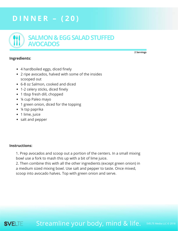# <span id="page-21-0"></span>**D I N N E R – ( 2 0 )**



#### **Ingredients:**

- 4 hardboiled eggs, diced finely
- 2 ripe avocados, halved with some of the insides scooped out
- 6-8 oz Salmon, cooked and diced
- 1-2 celery sticks, diced finely
- 1 tbsp fresh dill, chopped
- ¼ cup Paleo mayo
- 1 green onion, diced for the topping
- ¼ tsp paprika
- 1 lime, juice
- salt and pepper

#### **Instructions:**

1. Prep avocados and scoop out a portion of the centers. In a small mixing bowl use a fork to mash this up with a bit of lime juice.

2. Then combine this with all the other ingredients (except green onion) in a medium sized mixing bowl. Use salt and pepper to taste. Once mixed, scoop into avocado halves. Top with green onion and serve.

Streamline your body, mind & life. **SVELTE** 

**2 Servings**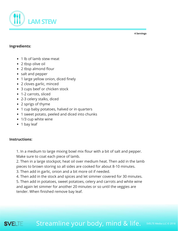<span id="page-22-0"></span>

#### **Ingredients:**

- 1 lb of lamb stew meat
- 2 tbsp olive oil
- 2 tbsp almond flour
- salt and pepper
- 1 large yellow onion, diced finely
- 2 cloves garlic, minced
- 3 cups beef or chicken stock
- 1-2 carrots, sliced
- 2-3 celery stalks, diced
- 2 sprigs of thyme
- 1 cup baby potatoes, halved or in quarters
- 1 sweet potato, peeled and diced into chunks
- 1/3 cup white wine
- 1 bay leaf

#### **Instructions:**

1. In a medium to large mixing bowl mix flour with a bit of salt and pepper. Make sure to coat each piece of lamb.

2. Then in a large stockpot, heat oil over medium heat. Then add in the lamb pieces to brown storing so all sides are cooked for about 8-10 minutes.

- 3. Then add in garlic, onion and a bit more oil if needed.
- 4. Then add in the stock and spices and let simmer covered for 30 minutes.

5. Then add in potatoes, sweet potatoes, celery and carrots and white wine and again let simmer for another 20 minutes or so until the veggies are tender. When finished remove bay leaf.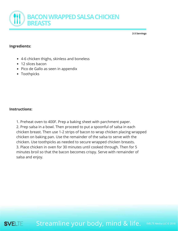<span id="page-23-0"></span>

**2-3 Servings**

#### **Ingredients:**

- 4-6 chicken thighs, skinless and boneless
- 12 slices bacon
- Pico de Gallo as seen in appendix
- Toothpicks

#### **Instructions:**

1. Preheat oven to 400F. Prep a baking sheet with parchment paper. 2. Prep salsa in a bowl. Then proceed to put a spoonful of salsa in each chicken breast. Then use 1-2 strips of bacon to wrap chicken placing wrapped chicken on baking pan. Use the remainder of the salsa to serve with the chicken. Use toothpicks as needed to secure wrapped chicken breasts. 3. Place chicken in oven for 30 minutes until cooked through. Then for 5 minutes broil so that the bacon becomes crispy. Serve with remainder of salsa and enjoy.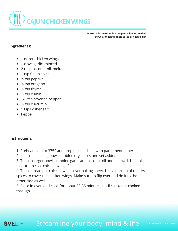<span id="page-24-0"></span>

**Makes 1 dozen (double or triple recipe as needed) Serve alongside simple salad or veggie dish**

#### **Ingredients:**

- 1 dozen chicken wings
- 1 clove garlic, minced
- 2 tbsp coconut oil, melted
- 1 tsp Cajun spice
- ½ tsp paprika
- ¼ tsp oregano
- ¼ tsp thyme
- ¼ tsp cumin
- 1/8 tsp cayenne pepper
- ¼ tsp curcumin
- 1 tsp kosher salt
- Pepper

#### **Instructions:**

- 1. Preheat oven to 375F and prep baking sheet with parchment paper.
- 2. In a small mixing bowl combine dry spices and set aside.

3. Then in larger bowl, combine garlic and coconut oil and mix well. Use this mixture to coat chicken wings first.

4. Then spread out chicken wings over baking sheet. Use a portion of the dry spices to cover the chicken wings. Make sure to flip over and do it to the other side as well.

5. Place in oven and cook for about 30-35 minutes, until chicken is cooked through.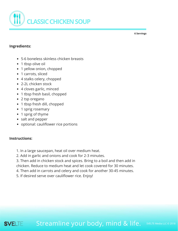<span id="page-25-0"></span>

#### **Ingredients:**

- 5-6 boneless skinless chicken breasts
- 1 tbsp olive oil
- 1 yellow onion, chopped
- 1 carrots, sliced
- 4 stalks celery, chopped
- 2-2L chicken stock
- 4 cloves garlic, minced
- 1 tbsp fresh basil, chopped
- 2 tsp oregano
- 1 tbsp fresh dill, chopped
- 1 sprig rosemary
- 1 sprig of thyme
- salt and pepper
- optional: cauliflower rice portions

#### **Instructions:**

- 1. In a large saucepan, heat oil over medium heat.
- 2. Add in garlic and onions and cook for 2-3 minutes.
- 3. Then add in chicken stock and spices. Bring to a boil and then add in chicken. Reduce to medium heat and let cook covered for 30 minutes.
- 4. Then add in carrots and celery and cook for another 30-45 minutes.
- 5. If desired serve over cauliflower rice. Enjoy!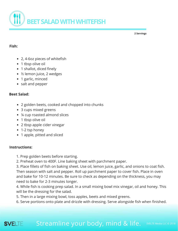<span id="page-26-0"></span>

#### **Fish:**

- 2, 4-6oz pieces of whitefish
- 1 tbsp olive oil
- 1 shallot, diced finely
- ½ lemon juice, 2 wedges
- 1 garlic, minced
- salt and pepper

#### **Beet Salad:**

- 2 golden beets, cooked and chopped into chunks
- 3 cups mixed greens
- ¼ cup roasted almond slices
- 1 tbsp olive oil
- 2 tbsp apple cider vinegar
- 1-2 tsp honey
- 1 apple, pitted and sliced

#### **Instructions:**

- 1. Prep golden beets before starting.
- 2. Preheat oven to 400F. Line baking sheet with parchment paper.

3. Place fillets of fish on baking sheet. Use oil, lemon juice, garlic, and onions to coat fish. Then season with salt and pepper. Roll up parchment paper to cover fish. Place in oven and bake for 10-12 minutes. Be sure to check as depending on the thickness, you may need to bake for 2-3 minutes longer.

4. While fish is cooking prep salad. In a small mixing bowl mix vinegar, oil and honey. This will be the dressing for the salad.

- 5. Then in a large mixing bowl, toss apples, beets and mixed greens.
- 6. Serve portions onto plate and drizzle with dressing. Serve alongside fish when finished.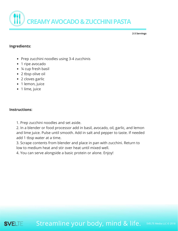<span id="page-27-0"></span>

**2-3 Servings**

#### **Ingredients:**

- Prep zucchini noodles using 3-4 zucchinis
- 1 ripe avocado
- ¼ cup fresh basil
- 2 tbsp olive oil
- 2 cloves garlic
- 1 lemon, juice
- 1 lime, juice

#### **Instructions:**

1. Prep zucchini noodles and set aside.

2. In a blender or food processor add in basil, avocado, oil, garlic, and lemon and lime juice. Pulse until smooth. Add in salt and pepper to taste. If needed add 1 tbsp water at a time.

3. Scrape contents from blender and place in pan with zucchini. Return to low to medium heat and stir over heat until mixed well.

4. You can serve alongside a basic protein or alone. Enjoy!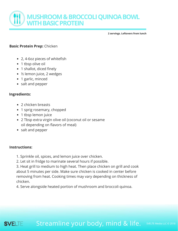<span id="page-28-0"></span>

**2 servings. Leftovers from lunch**

#### **Basic Protein Prep:** Chicken

- 2, 4-6oz pieces of whitefish
- 1 tbsp olive oil
- 1 shallot, diced finely
- ½ lemon juice, 2 wedges
- 1 garlic, minced
- salt and pepper

#### **Ingredients:**

- 2 chicken breasts
- 1 sprig rosemary, chopped
- 1 tbsp lemon juice
- 2 Tbsp extra virgin olive oil (coconut oil or sesame oil depending on flavors of meal)
- salt and pepper

#### **Instructions:**

**SVELTE** 

- 1. Sprinkle oil, spices, and lemon juice over chicken.
- 2. Let sit in fridge to marinate several hours if possible.

3. Heat grill to medium to high heat. Then place chicken on grill and cook about 5 minutes per side. Make sure chicken is cooked in center before removing from heat. Cooking times may vary depending on thickness of chicken.

4. Serve alongside heated portion of mushroom and broccoli quinoa.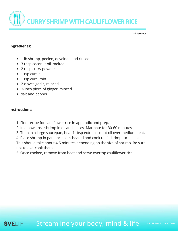<span id="page-29-0"></span>

**3-4 Servings**

#### **Ingredients:**

- 1 lb shrimp, peeled, deveined and rinsed
- 3 tbsp coconut oil, melted
- 2 tbsp curry powder
- 1 tsp cumin
- 1 tsp curcumin
- 2 cloves garlic, minced
- ¼ inch piece of ginger, minced
- salt and pepper

#### **Instructions:**

- 1. Find recipe for cauliflower rice in appendix and prep.
- 2. In a bowl toss shrimp in oil and spices. Marinate for 30-60 minutes.
- 3. Then in a large saucepan, heat 1 tbsp extra coconut oil over medium heat.
- 4. Place shrimp in pan once oil is heated and cook until shrimp turns pink.

This should take about 4-5 minutes depending on the size of shrimp. Be sure not to overcook them.

5. Once cooked, remove from heat and serve overtop cauliflower rice.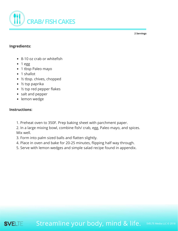<span id="page-30-0"></span>

#### **Ingredients:**

- 8-10 oz crab or whitefish
- $1 egg$
- 1 tbsp Paleo mayo
- 1 shallot
- ½ tbsp. chives, chopped
- ½ tsp paprika
- ½ tsp red pepper flakes
- salt and pepper
- lemon wedge

#### **Instructions:**

- 1. Preheat oven to 350F. Prep baking sheet with parchment paper.
- 2. In a large mixing bowl, combine fish/ crab, egg, Paleo mayo, and spices. Mix well.
- 3. Form into palm sized balls and flatten slightly.
- 4. Place in oven and bake for 20-25 minutes, flipping half way through.
- 5. Serve with lemon wedges and simple salad recipe found in appendix.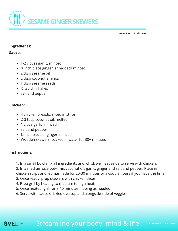<span id="page-31-0"></span>

**Serves 2 with 2 leftovers**

#### **Ingredients:**

#### **Sauce:**

- 1-2 cloves garlic, minced
- ¼ inch piece ginger, shredded/ minced
- 2 tbsp sesame oil
- 2 tbsp coconut aminos
- 1 tbsp sesame seeds
- ½ tsp chili flakes
- salt and pepper

#### **Chicken:**

- 4 chicken breasts, sliced in strips
- 2-3 tbsp coconut oil, melted
- 1 clove garlic, minced
- salt and pepper
- ¼ inch piece of ginger, minced
- Wooden skewers, soaked in water for 30+ minutes

#### **Instructions:**

- 1. In a small bowl mix all ingredients and whisk well. Set aside to serve with chicken.
- 2. In a medium size bowl mix coconut oil, garlic, ginger and salt and pepper. Place in chicken strips and let marinade for 20-30 minutes or a couple hours if you have the time.
- 3. Once ready, prep skewers with chicken slices.
- 4. Prep grill by heating to medium to high heat.
- 5. Once heated, grill for 8-10 minutes flipping as needed.
- 6. Serve with sauce drizzled overtop and alongside side of veggies.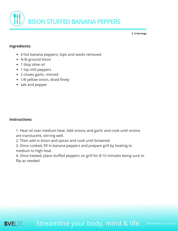<span id="page-32-0"></span>

**2 -3 Servings**

#### **Ingredients:**

- 4 hot banana peppers, tops and seeds removed
- ¾ lb ground bison
- 1 tbsp olive oil
- 1 tsp chili peppers
- 2 cloves garlic, minced
- 1/8 yellow onion, diced finely
- salt and pepper

#### **Instructions:**

1. Heat oil over medium heat. Add onions and garlic and cook until onions are translucent, stirring well.

2. Then add in bison and spices and cook until browned.

3. Once cooked, fill in banana peppers and prepare grill by heating to medium to high heat.

4. Once heated, place stuffed peppers on grill for 8-10 minutes being sure to flip as needed.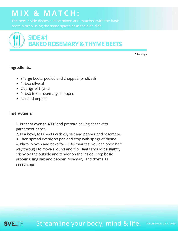# <span id="page-33-0"></span>**M I X & M A T C H :**

The next 3 side dishes can be mixed and matched with the basic

# **SIDE#1 BAKED ROSEMARY & THYME BEETS**

**2 Servings**

#### **Ingredients:**

- 3 large beets, peeled and chopped (or sliced)
- 2 tbsp olive oil
- 2 sprigs of thyme
- 2 tbsp fresh rosemary, chopped
- salt and pepper

#### **Instructions:**

1. Preheat oven to 400F and prepare baking sheet with parchment paper.

2. In a bowl, toss beets with oil, salt and pepper and rosemary. 3. Then spread evenly on pan and stop with sprigs of thyme. 4. Place in oven and bake for 35-40 minutes. You can open half way through to move around and flip. Beets should be slightly crispy on the outside and tender on the inside. Prep basic protein using salt and pepper, rosemary, and thyme as seasonings.

#### Streamline your body, mind & life. **SVELTE**

SVELTE Media LLC © 2018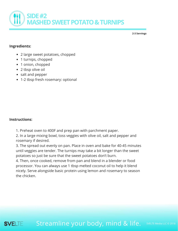<span id="page-34-0"></span>

**2-3 Servings**

#### **Ingredients:**

- 2 large sweet potatoes, chopped
- 1 turnips, chopped
- 1 onion, chopped
- 2 tbsp olive oil
- salt and pepper
- 1-2 tbsp fresh rosemary: optional

#### **Instructions:**

1. Preheat oven to 400F and prep pan with parchment paper.

2. In a large mixing bowl, toss veggies with olive oil, salt and pepper and rosemary if desired.

3. The spread out evenly on pan. Place in oven and bake for 40-45 minutes until veggies are tender. The turnips may take a bit longer than the sweet potatoes so just be sure that the sweet potatoes don't burn.

4. Then, once cooked, remove from pan and blend in a blender or food processor. You can always use 1 tbsp melted coconut oil to help it blend nicely. Serve alongside basic protein using lemon and rosemary to season the chicken.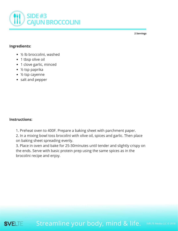<span id="page-35-0"></span>

#### **Ingredients:**

- ½ lb broccolini, washed
- 1 tbsp olive oil
- 1 clove garlic, minced
- ½ tsp paprika
- ½ tsp cayenne
- salt and pepper

#### **Instructions:**

1. Preheat oven to 400F. Prepare a baking sheet with parchment paper.

2. In a mixing bowl toss brocolini with olive oil, spices and garlic. Then place on baking sheet spreading evenly.

3. Place in oven and bake for 25-30minutes until tender and slightly crispy on the ends. Serve with basic protein prep using the same spices as in the brocolini recipe and enjoy.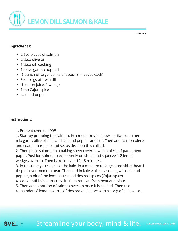<span id="page-36-0"></span>

#### **Ingredients:**

- 2 6oz pieces of salmon
- 2 tbsp olive oil
- 1 tbsp oil-cooking
- 1 clove garlic, chopped
- ½ bunch of large leaf kale (about 3-4 leaves each)
- 3-4 sprigs of fresh dill
- ½ lemon juice, 2 wedges
- 1 tsp Cajun spice
- salt and pepper

#### **Instructions:**

SVELTE

1. Preheat oven to 400F.

1. Start by prepping the salmon. In a medium sized bowl, or flat container mix garlic, olive oil, dill, and salt and pepper and stir. Then add salmon pieces and coat in marinade and set aside, keep this chilled.

2. Then place salmon on a baking sheet covered with a piece of parchment paper. Position salmon pieces evenly on sheet and squeeze 1-2 lemon wedges overtop. Then bake in oven 12-15 minutes.

3. In this time you can cook the kale. In a medium to large sized skillet heat 1 tbsp oil over medium heat. Then add in kale while seasoning with salt and pepper, a bit of the lemon juice and desired spices (Cajun spice).

4. Cook until kale starts to wilt. Then remove from heat and plate.

5. Then add a portion of salmon overtop once it is cooked. Then use

remainder of lemon overtop if desired and serve with a sprig of dill overtop.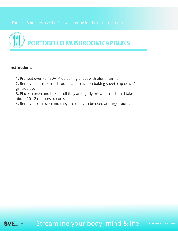<span id="page-37-0"></span>



#### **Instructions:**

- 1. Preheat oven to 450F. Prep baking sheet with aluminum foil.
- 2. Remove stems of mushrooms and place on baking sheet, cap down/ gill side up.
- 3. Place in oven and bake until they are lightly brown, this should take about 10-12 minutes to cook.
- 4. Remove from oven and they are ready to be used at burger buns.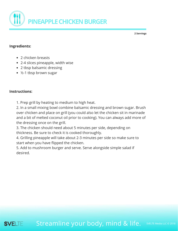<span id="page-38-0"></span>

#### **Ingredients:**

- 2 chicken breasts
- 2-4 slices pineapple, width wise
- 2 tbsp balsamic dressing
- ½-1 tbsp brown sugar

#### **Instructions:**

1. Prep grill by heating to medium to high heat.

2. In a small mixing bowl combine balsamic dressing and brown sugar. Brush over chicken and place on grill (you could also let the chicken sit in marinade and a bit of melted coconut oil prior to cooking). You can always add more of the dressing once on the grill.

3. The chicken should need about 5 minutes per side, depending on thickness. Be sure to check it is cooked thoroughly.

4. Grilling pineapple will take about 2-3 minutes per side so make sure to start when you have flipped the chicken.

5. Add to mushroom burger and serve. Serve alongside simple salad if desired.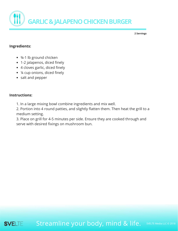<span id="page-39-0"></span>

#### **Ingredients:**

- ¾-1 lb ground chicken
- 1-2 jalapenos, diced finely
- 4 cloves garlic, diced finely
- ¼ cup onions, diced finely
- salt and pepper

#### **Instructions:**

- 1. In a large mixing bowl combine ingredients and mix well.
- 2. Portion into 4 round patties, and slightly flatten them. Then heat the grill to a medium setting.

3. Place on grill for 4-5 minutes per side. Ensure they are cooked through and serve with desired fixings on mushroom bun.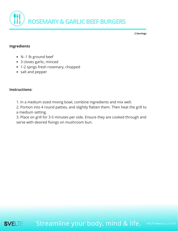

#### **Ingredients**

- ¾ -1 lb ground beef
- 3 cloves garlic, minced
- 1-2 sprigs fresh rosemary, chopped
- salt and pepper

#### **Instructions:**

1. In a medium sized mixing bowl, combine ingredients and mix well.

2. Portion into 4 round patties, and slightly flatten them. Then heat the grill to a medium setting.

3. Place on grill for 3-5 minutes per side. Ensure they are cooked through and serve with desired fixings on mushroom bun.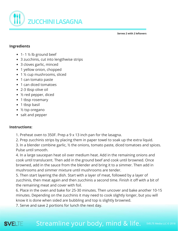<span id="page-41-0"></span>

**Serves 2 with 2 leftovers**

#### **Ingredients**

- $\bullet$  1-1  $\frac{1}{2}$  lb ground beef
- 3 zucchinis, cut into lengthwise strips
- 3 cloves garlic, minced
- 1 yellow onion, chopped
- 1 ½ cup mushrooms, sliced
- 1 can tomato paste
- 1 can diced tomatoes
- 2-3 tbsp olive oil
- ½ red pepper, diced
- 1 tbsp rosemary
- 1 tbsp basil
- ½ tsp oregano
- salt and pepper

#### **Instructions:**

- 1. Preheat oven to 350F. Prep a 9 x 13 inch pan for the lasagna.
- 2. Prep zucchinis strips by placing them in paper towel to soak up the extra liquid.

3. In a blender combine garlic, ½ the onions, tomato paste, diced tomatoes and spices. Pulse until smooth.

4. In a large saucepan heat oil over medium heat. Add in the remaining onions and cook until translucent. Then add in the ground beef and cook until browned. Once browned, add in the sauce from the blender and bring it to a simmer. Then add in mushrooms and simmer mixture until mushrooms are tender.

5. Then start layering the dish. Start with a layer of meat, followed by a layer of zucchinis, then meat again and then zucchinis a second time. Finish it off with a bit of the remaining meat and cover with foil.

6. Place in the oven and bake for 25-30 minutes. Then uncover and bake another 10-15 minutes. Depending on the zucchinis it may need to cook slightly longer, but you will know it is done when sided are bubbling and top is slightly browned.

7. Serve and save 2 portions for lunch the next day.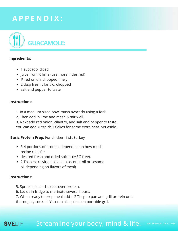# <span id="page-42-0"></span>**A P P E N D I X :**



#### **Ingredients:**

- 1 avocado, diced
- juice from 1/2 lime (use more if desired)
- ¼ red onion, chopped finely
- 2 tbsp fresh cilantro, chopped
- salt and pepper to taste

#### **Instructions:**

- 1. In a medium sized bowl mash avocado using a fork.
- 2. Then add in lime and mash & stir well.
- 3. Next add red onion, cilantro, and salt and pepper to taste.
- You can add ¼ tsp chili flakes for some extra heat. Set aside.

**Basic Protein Prep:** For chicken, fish, turkey

- 3-4 portions of protein, depending on how much recipe calls for
- desired fresh and dried spices (MSG free).
- 2 Tbsp extra virgin olive oil (coconut oil or sesame oil depending on flavors of meal)

#### **Instructions:**

- 5. Sprinkle oil and spices over protein.
- 6. Let sit in fridge to marinate several hours.
- 7. When ready to prep meal add 1-2 Tbsp to pan and grill protein until
- thoroughly cooked. You can also place on portable grill.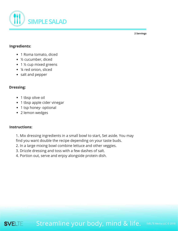<span id="page-43-0"></span>

#### **Ingredients:**

- 1 Roma tomato, diced
- ½ cucumber, diced
- 1 ½ cup mixed greens
- ¼ red onion, sliced
- salt and pepper

#### **Dressing:**

- 1 tbsp olive oil
- 1 tbsp apple cider vinegar
- 1 tsp honey- optional
- 2 lemon wedges

#### **Instructions:**

- 1. Mix dressing ingredients in a small bowl to start, Set aside. You may find you want double the recipe depending on your taste buds.
- 2. In a large mixing bowl combine lettuce and other veggies.
- 3. Drizzle dressing and toss with a few dashes of salt.
- 4. Portion out, serve and enjoy alongside protein dish.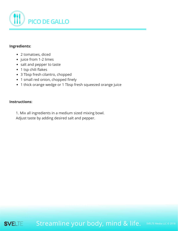<span id="page-44-0"></span>

#### **Ingredients:**

- 2 tomatoes, diced
- juice from 1-2 limes
- salt and pepper to taste
- 1 tsp chili flakes
- 3 Tbsp fresh cilantro, chopped
- 1 small red onion, chopped finely
- 1 thick orange wedge or 1 Tbsp fresh squeezed orange juice

#### **Instructions:**

1. Mix all ingredients in a medium sized mixing bowl.

Adjust taste by adding desired salt and pepper.

Streamline your body, mind & life. SVELTE

SVELTE Media LLC © 2018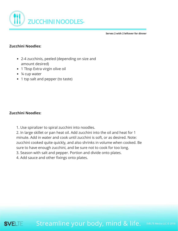<span id="page-45-0"></span>

**Serves 2 with 2 leftover for dinner**

#### **Zucchini Noodles:**

- 2-4 zucchinis, peeled (depending on size and amount desired)
- 1 Tbsp Extra virgin olive oil
- ¼ cup water
- 1 tsp salt and pepper (to taste)

#### **Zucchini Noodles:**

1. Use spiralizer to spiral zucchini into noodles.

2. In large skillet or pan heat oil. Add zucchini into the oil and heat for 1 minute. Add in water and cook until zucchini is soft, or as desired. Note: zucchini cooked quite quickly, and also shrinks in volume when cooked. Be sure to have enough zucchini, and be sure not to cook for too long.

3. Season with salt and pepper. Portion and divide onto plates.

4. Add sauce and other fixings onto plates.